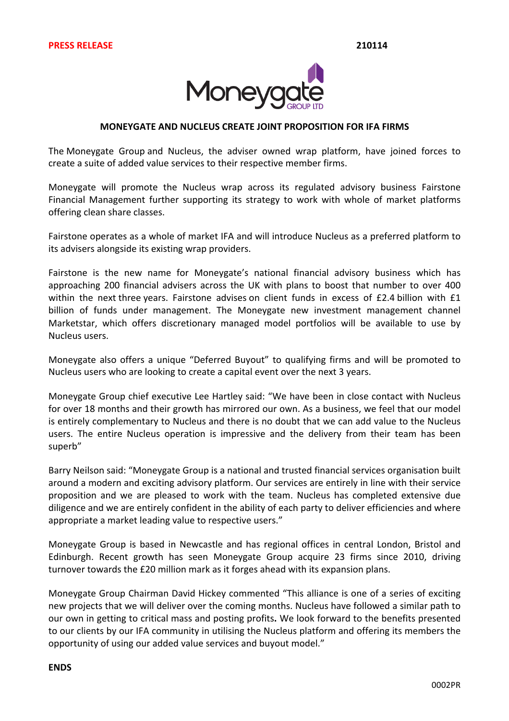

## **MONEYGATE AND%NUCLEUS%CREATE%JOINT PROPOSITION%FOR%IFA%FIRMS**

The Moneygate Group and Nucleus, the adviser owned wrap platform, have ioined forces to create a suite of added value services to their respective member firms.

Moneygate will promote the Nucleus wrap across its regulated advisory business Fairstone Financial Management further supporting its strategy to work with whole of market platforms offering clean share classes.

Fairstone operates as a whole of market IFA and will introduce Nucleus as a preferred platform to its advisers alongside its existing wrap providers.

Fairstone is the new name for Moneygate's national financial advisory business which has approaching 200 financial advisers across the UK with plans to boost that number to over 400 within the next three years. Fairstone advises on client funds in excess of  $E2.4$  billion with  $E1$ billion of funds under management. The Moneygate new investment management channel Marketstar, which offers discretionary managed model portfolios will be available to use by Nucleus users.

Moneygate also offers a unique "Deferred Buyout" to qualifying firms and will be promoted to Nucleus users who are looking to create a capital event over the next 3 years.

Moneygate Group chief executive Lee Hartley said: "We have been in close contact with Nucleus for over 18 months and their growth has mirrored our own. As a business, we feel that our model is entirely complementary to Nucleus and there is no doubt that we can add value to the Nucleus users. The entire Nucleus operation is impressive and the delivery from their team has been superb"

Barry Neilson said: "Moneygate Group is a national and trusted financial services organisation built around a modern and exciting advisory platform. Our services are entirely in line with their service proposition and we are pleased to work with the team. Nucleus has completed extensive due diligence and we are entirely confident in the ability of each party to deliver efficiencies and where appropriate a market leading value to respective users."

Moneygate Group is based in Newcastle and has regional offices in central London, Bristol and Edinburgh. Recent growth has seen Moneygate Group acquire 23 firms since 2010, driving turnover towards the  $£20$  million mark as it forges ahead with its expansion plans.

Moneygate Group Chairman David Hickey commented "This alliance is one of a series of exciting new projects that we will deliver over the coming months. Nucleus have followed a similar path to our own in getting to critical mass and posting profits. We look forward to the benefits presented to our clients by our IFA community in utilising the Nucleus platform and offering its members the opportunity of using our added value services and buyout model."

## **ENDS**